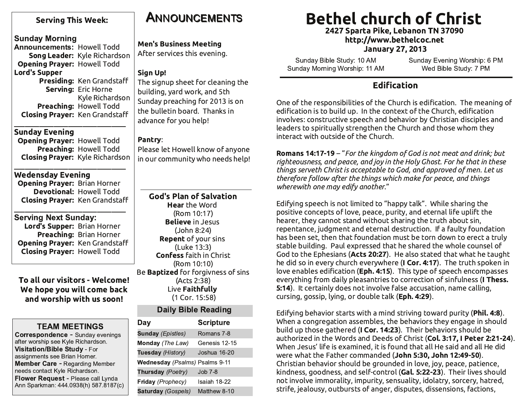### **Serving This Week:**

### **Sunday Morning**

Announcements: Howell Todd Song Leader: Kyle Richardson **Opening Prayer: Howell Todd Lord's Supper** Presiding: Ken Grandstaff Serving: Eric Horne Kyle Richardson Preaching: Howell Todd

**Sunday Evening** 

**Opening Prayer: Howell Todd** Preaching: Howell Todd **Closing Prayer: Kyle Richardson** 

**Closing Prayer: Ken Grandstaff** 

**Wedensday Evening Opening Prayer: Brian Horner Devotional: Howell Todd Closing Prayer: Ken Grandstaff** 

**Serving Next Sunday:** Lord's Supper: Brian Horner Preaching: Brian Horner Opening Prayer: Ken Grandstaff **Closing Prayer: Howell Todd** 

To all our visitors - Welcome! We hope you will come back and worship with us soon!

### **TEAM MEETINGS**

**Correspondence - Sunday evenings** after worship see Kyle Richardson. **Visitation/Bible Study - For** assignments see Brian Horner. **Member Care - Regarding Member** needs contact Kyle Richardson. Flower Request - Please call Lynda Ann Sparkman: 444.0938(h) 587.8187(c)

# **ANNOUNCEMENTS**

**Men's Business Meeting** After services this evening.

### Sign Up!

The signup sheet for cleaning the building, yard work, and 5th Sunday preaching for 2013 is on the bulletin board. Thanks in advance for you help!

#### Pantry:

Please let Howell know of anyone in our community who needs help!

**God's Plan of Salvation Hear** the Word (Rom 10:17) **Believe** in Jesus  $(John 8:24)$ **Repent** of your sins (Luke 13:3) **Confess faith in Christ** (Rom 10:10) Be **Baptized** for forgivness of sins (Acts 2:38) Live Faithfully (1 Cor. 15:58)

### **Daily Bible Reading**

| Day                            | <b>Scripture</b> |
|--------------------------------|------------------|
| <b>Sunday (Epistles)</b>       | Romans 7-8       |
| <b>Monday</b> (The Law)        | Genesis 12-15    |
| Tuesday (History)              | Joshua 16-20     |
| Wednesday (Psalms) Psalms 9-11 |                  |
| Thursday (Poetry)              | Job 7-8          |
| Friday (Prophecy)              | Isaiah 18-22     |
| <b>Saturday (Gospels)</b>      | Matthew 8-10     |

# **Bethel church of Christ**

2427 Sparta Pike, Lebanon TN 37090 http://www.bethelcoc.net **January 27, 2013** 

Sunday Bible Study: 10 AM Sunday Morning Worship: 11 AM Sunday Evening Worship: 6 PM Wed Bible Study: 7 PM

### **Edification**

One of the responsibilities of the Church is edification. The meaning of edification is to build up. In the context of the Church, edification involves: constructive speech and behavior by Christian disciples and leaders to spiritually strengthen the Church and those whom they interact with outside of the Church.

Romans 14:17-19 - "For the kingdom of God is not meat and drink; but righteousness, and peace, and joy in the Holy Ghost. For he that in these things serveth Christ is acceptable to God, and approved of men. Let us therefore follow after the things which make for peace, and things wherewith one may edify another."

Edifying speech is not limited to "happy talk". While sharing the positive concepts of love, peace, purity, and eternal life uplift the hearer, they cannot stand without sharing the truth about sin. repentance, judgment and eternal destruction. If a faulty foundation has been set, then that foundation must be torn down to erect a truly stable building. Paul expressed that he shared the whole counsel of God to the Ephesians (Acts 20:27). He also stated that what he taught he did so in every church everywhere (I Cor. 4:17). The truth spoken in love enables edification (Eph. 4:15). This type of speech encompasses everything from daily pleasantries to correction of sinfulness (I Thess. 5:14). It certainly does not involve false accusation, name calling, cursing, gossip, lying, or double talk (Eph. 4:29).

Edifying behavior starts with a mind striving toward purity (Phil. 4:8). When a congregation assembles, the behaviors they engage in should build up those gathered (I Cor. 14:23). Their behaviors should be authorized in the Words and Deeds of Christ (Col. 3:17, I Peter 2:21-24). When Jesus' life is examined, it is found that all He said and all He did were what the Father commanded (John 5:30, John 12:49-50). Christian behavior should be grounded in love, joy, peace, patience, kindness, goodness, and self-control (Gal. 5:22-23). Their lives should not involve immorality, impurity, sensuality, idolatry, sorcery, hatred, strife, jealousy, outbursts of anger, disputes, dissensions, factions,